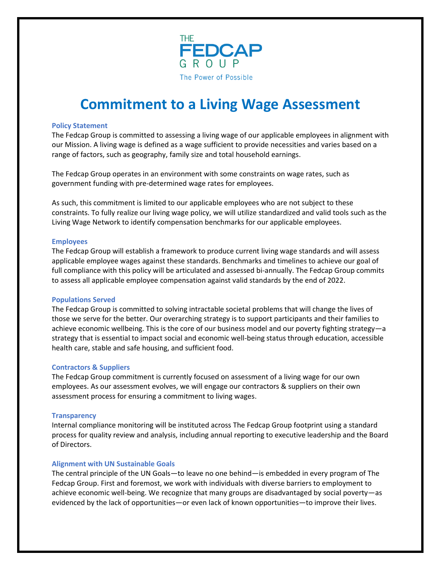

# **Commitment to a Living Wage Assessment**

## **Policy Statement**

The Fedcap Group is committed to assessing a living wage of our applicable employees in alignment with our Mission. A living wage is defined as a wage sufficient to provide necessities and varies based on a range of factors, such as geography, family size and total household earnings.

The Fedcap Group operates in an environment with some constraints on wage rates, such as government funding with pre-determined wage rates for employees.

As such, this commitment is limited to our applicable employees who are not subject to these constraints. To fully realize our living wage policy, we will utilize standardized and valid tools such as the Living Wage Network to identify compensation benchmarks for our applicable employees.

## **Employees**

The Fedcap Group will establish a framework to produce current living wage standards and will assess applicable employee wages against these standards. Benchmarks and timelines to achieve our goal of full compliance with this policy will be articulated and assessed bi-annually. The Fedcap Group commits to assess all applicable employee compensation against valid standards by the end of 2022.

#### **Populations Served**

The Fedcap Group is committed to solving intractable societal problems that will change the lives of those we serve for the better. Our overarching strategy is to support participants and their families to achieve economic wellbeing. This is the core of our business model and our poverty fighting strategy—a strategy that is essential to impact social and economic well-being status through education, accessible health care, stable and safe housing, and sufficient food.

## **Contractors & Suppliers**

The Fedcap Group commitment is currently focused on assessment of a living wage for our own employees. As our assessment evolves, we will engage our contractors & suppliers on their own assessment process for ensuring a commitment to living wages.

#### **Transparency**

Internal compliance monitoring will be instituted across The Fedcap Group footprint using a standard process for quality review and analysis, including annual reporting to executive leadership and the Board of Directors.

## **Alignment with UN Sustainable Goals**

The central principle of the UN Goals—to leave no one behind—is embedded in every program of The Fedcap Group. First and foremost, we work with individuals with diverse barriers to employment to achieve economic well-being. We recognize that many groups are disadvantaged by social poverty—as evidenced by the lack of opportunities—or even lack of known opportunities—to improve their lives.